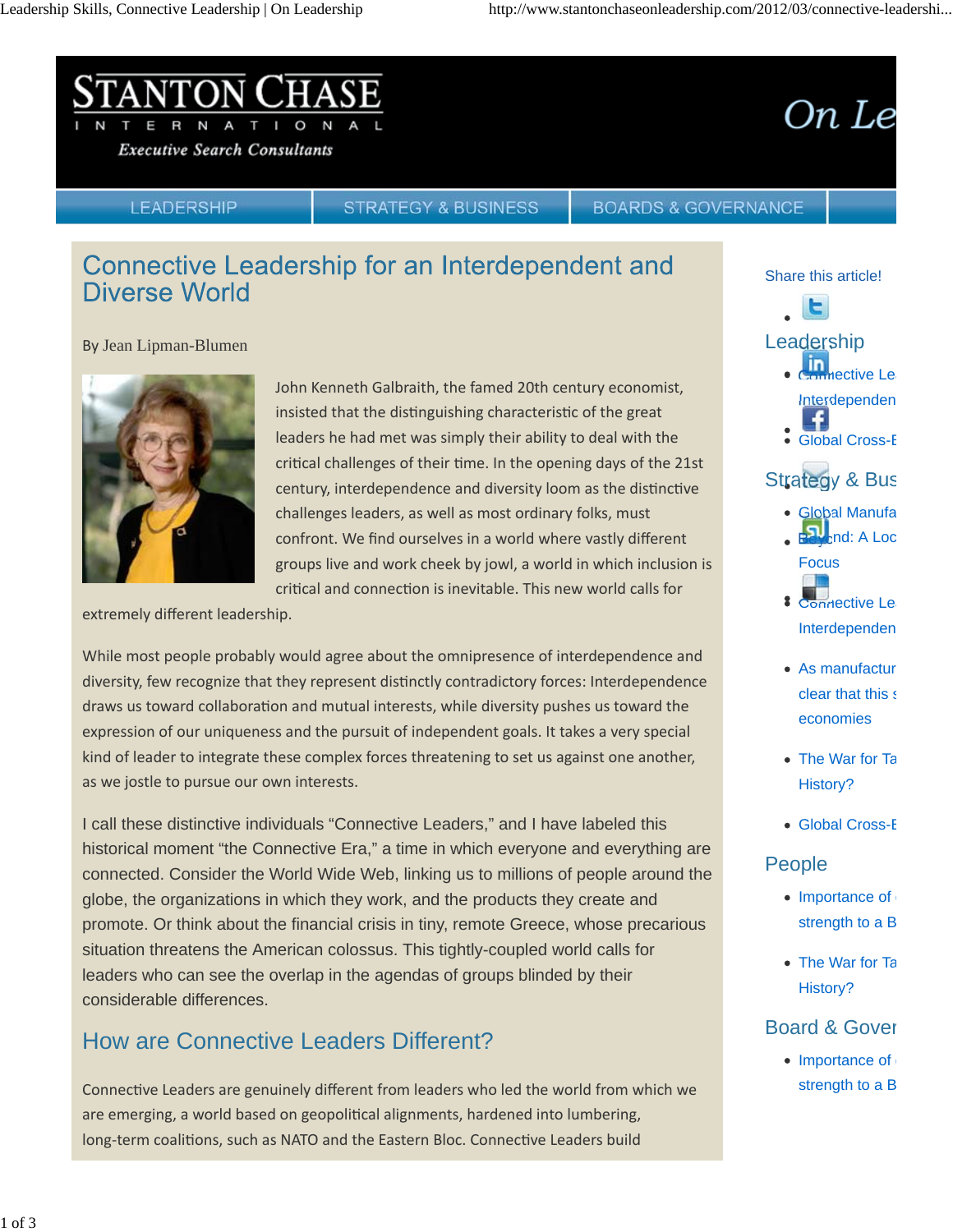#### NTON T I O  $\mathsf{R}$ N

**Executive Search Consultants** 

# On Le

#### **LEADERSHIP**

**STRATEGY & BUSINESS** 

#### **BOARDS & GOVERNANCE**

## Connective Leadership for an Interdependent and Diverse World

By Jean Lipman-Blumen



John Kenneth Galbraith, the famed 20th century economist, insisted that the distinguishing characteristic of the great leaders he had met was simply their ability to deal with the critical challenges of their time. In the opening days of the 21st century, interdependence and diversity loom as the distinctive challenges leaders, as well as most ordinary folks, must confront. We find ourselves in a world where vastly different groups live and work cheek by jowl, a world in which inclusion is critical and connection is inevitable. This new world calls for

extremely different leadership.

While most people probably would agree about the omnipresence of interdependence and diversity, few recognize that they represent distinctly contradictory forces: Interdependence draws us toward collaboration and mutual interests, while diversity pushes us toward the expression of our uniqueness and the pursuit of independent goals. It takes a very special kind of leader to integrate these complex forces threatening to set us against one another, as we jostle to pursue our own interests.

I call these distinctive individuals "Connective Leaders," and I have labeled this historical moment "the Connective Era," a time in which everyone and everything are connected. Consider the World Wide Web, linking us to millions of people around the globe, the organizations in which they work, and the products they create and promote. Or think about the financial crisis in tiny, remote Greece, whose precarious situation threatens the American colossus. This tightly-coupled world calls for leaders who can see the overlap in the agendas of groups blinded by their considerable differences.

# How are Connective Leaders Different?

Connective Leaders are genuinely different from leaders who led the world from which we are emerging, a world based on geopolitical alignments, hardened into lumbering, long-term coalitions, such as NATO and the Eastern Bloc. Connective Leaders build

#### Share this article!



#### Leadership

- **Connective Lea** Interdependen
- Global Cross-B

### Strategy & Bus

- Global Manufa  $B$ <sub>bnd: A Loc</sub>
- **Focus** 8 Connective Lea
	- Interdependen
- As manufactur clear that this s economies
- The War for Ta History?
- Global Cross-B

### People

- $\bullet$  Importance of strength to a B
- The War for Ta History?

### Board & Gover

 $\bullet$  Importance of strength to a B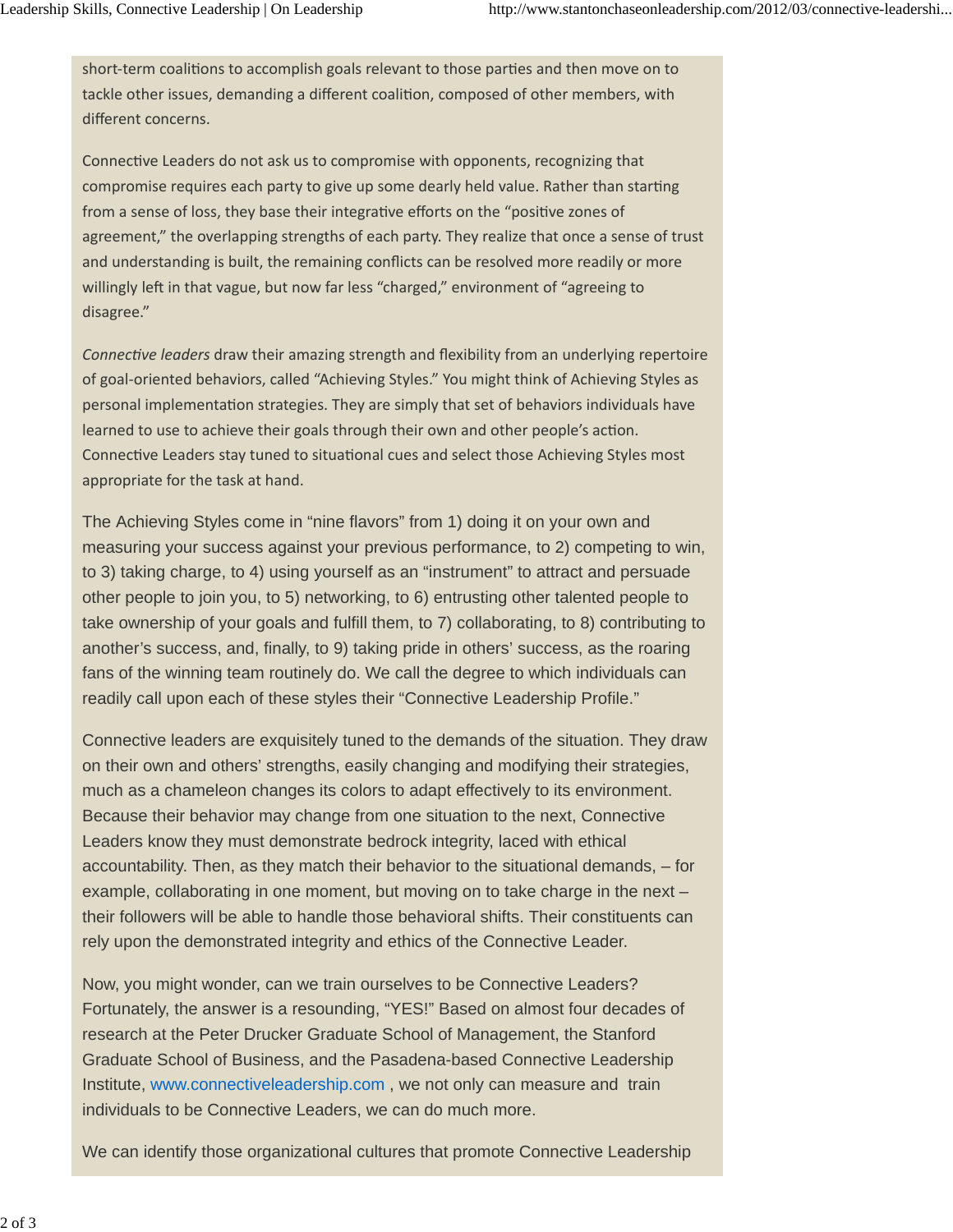short-term coalitions to accomplish goals relevant to those parties and then move on to tackle other issues, demanding a different coalition, composed of other members, with different concerns.

Connective Leaders do not ask us to compromise with opponents, recognizing that compromise requires each party to give up some dearly held value. Rather than starting from a sense of loss, they base their integrative efforts on the "positive zones of agreement," the overlapping strengths of each party. They realize that once a sense of trust and understanding is built, the remaining conflicts can be resolved more readily or more willingly left in that vague, but now far less "charged," environment of "agreeing to disagree."

*Connective leaders* draw their amazing strength and flexibility from an underlying repertoire of goal‐oriented behaviors, called "Achieving Styles." You might think of Achieving Styles as personal implementation strategies. They are simply that set of behaviors individuals have learned to use to achieve their goals through their own and other people's action. Connective Leaders stay tuned to situational cues and select those Achieving Styles most appropriate for the task at hand.

The Achieving Styles come in "nine flavors" from 1) doing it on your own and measuring your success against your previous performance, to 2) competing to win, to 3) taking charge, to 4) using yourself as an "instrument" to attract and persuade other people to join you, to 5) networking, to 6) entrusting other talented people to take ownership of your goals and fulfill them, to 7) collaborating, to 8) contributing to another's success, and, finally, to 9) taking pride in others' success, as the roaring fans of the winning team routinely do. We call the degree to which individuals can readily call upon each of these styles their "Connective Leadership Profile."

Connective leaders are exquisitely tuned to the demands of the situation. They draw on their own and others' strengths, easily changing and modifying their strategies, much as a chameleon changes its colors to adapt effectively to its environment. Because their behavior may change from one situation to the next, Connective Leaders know they must demonstrate bedrock integrity, laced with ethical accountability. Then, as they match their behavior to the situational demands, – for example, collaborating in one moment, but moving on to take charge in the next – their followers will be able to handle those behavioral shifts. Their constituents can rely upon the demonstrated integrity and ethics of the Connective Leader.

Now, you might wonder, can we train ourselves to be Connective Leaders? Fortunately, the answer is a resounding, "YES!" Based on almost four decades of research at the Peter Drucker Graduate School of Management, the Stanford Graduate School of Business, and the Pasadena-based Connective Leadership Institute, www.connectiveleadership.com , we not only can measure and train individuals to be Connective Leaders, we can do much more.

We can identify those organizational cultures that promote Connective Leadership